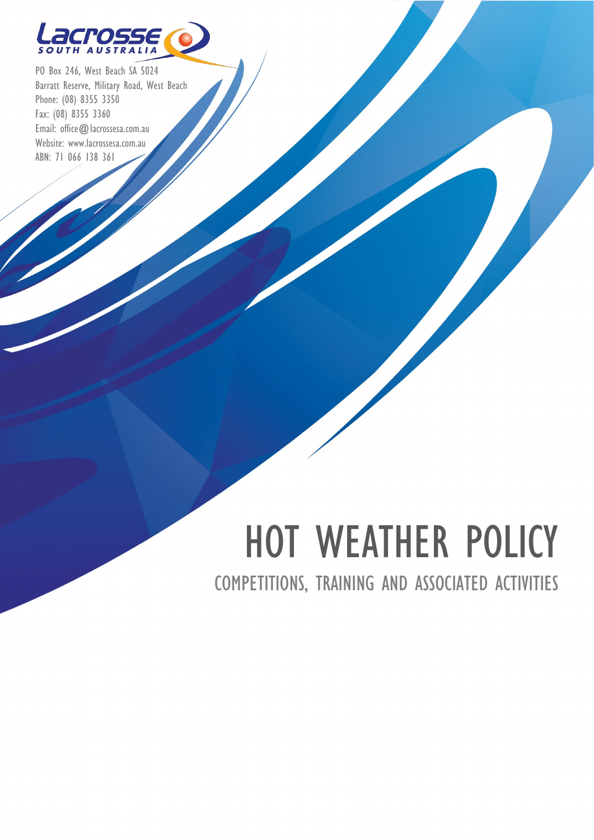

PO Box 246, West Beach SA 5024 Barratt Reserve, Military Road, West Beach Phone: (08) 8355 3350 Fax: (08) 8355 3360 Email: [office@lacrossesa.com.au](mailto:office@alcrossesa.com.au) Website: [www.lacrossesa.com.au](http://www.lacrossesa.com.au/) ABN: 71 066 138 361

# HOT WEATHER POLICY

COMPETITIONS, TRAINING AND ASSOCIATED ACTIVITIES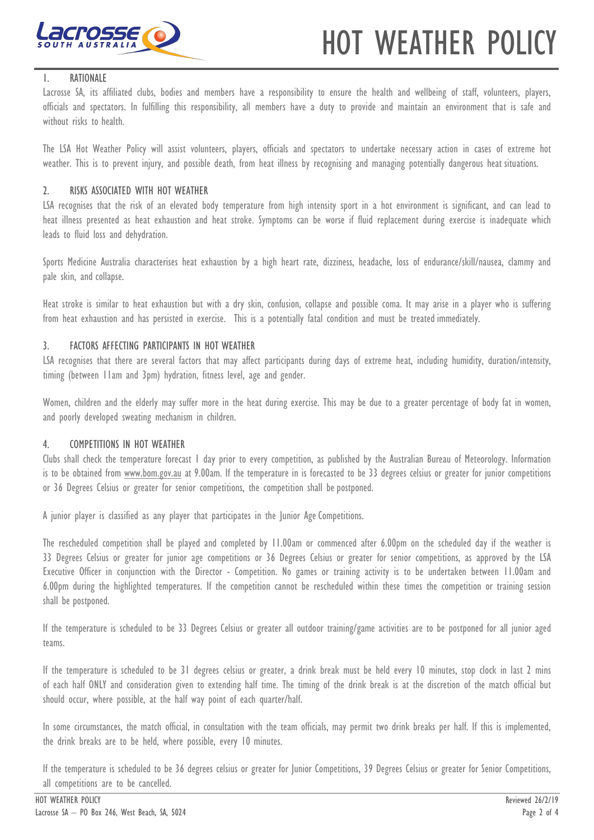

## HOT WEATHER POLICY

#### 1. RATIONALE

Lacrosse SA, its affiliated clubs, bodies and members have a responsibility to ensure the health and wellbeing of staff, volunteers, players, officials and spectators. In fulfilling this responsibility, all members have a duty to provide and maintain an environment that is safe and without risks to health.

The LSA Hot Weather Policy will assist volunteers, players, officials and spectators to undertake necessary action in cases of extreme hot weather. This is to prevent injury, and possible death, from heat illness by recognising and managing potentially dangerous heat situations.

#### 2. RISKS ASSOCIATED WITH HOT WEATHER

LSA recognises that the risk of an elevated body temperature from high intensity sport in a hot environment is significant, and can lead to heat illness presented as heat exhaustion and heat stroke. Symptoms can be worse if fluid replacement during exercise is inadequate which leads to fluid loss and dehydration.

Sports Medicine Australia characterises heat exhaustion by a high heart rate, dizziness, headache, loss of endurance/skill/nausea, clammy and pale skin, and collapse.

Heat stroke is similar to heat exhaustion but with a dry skin, confusion, collapse and possible coma. It may arise in a player who is suffering from heat exhaustion and has persisted in exercise. This is a potentially fatal condition and must be treatedimmediately.

#### 3. FACTORS AFFECTING PARTICIPANTS IN HOT WEATHER

LSA recognises that there are several factors that may affect participants during days of extreme heat, including humidity, duration/intensity, timing (between 11am and 3pm) hydration, fitness level, age and gender.

Women, children and the elderly may suffer more in the heat during exercise. This may be due to a greater percentage of body fat in women, and poorly developed sweating mechanism in children.

#### 4. COMPETITIONS IN HOT WEATHER

Clubs shall check the temperature forecast 1 day prior to every competition, as published by the Australian Bureau of Meteorology. Information is to be obtained from [www.bom.gov.au](http://www.bom.gov.au/) at 9.00am. If the temperature in is forecasted to be 33 degrees celsius or greater for junior competitions or 36 Degrees Celsius or greater for senior competitions, the competition shall be postponed.

A junior player is classified as any player that participates in the Junior Age Competitions.

The rescheduled competition shall be played and completed by 11.00am or commenced after 6.00pm on the scheduled day if the weather is 33 Degrees Celsius or greater for junior age competitions or 36 Degrees Celsius or greater for senior competitions, as approved by the LSA Executive Officer in conjunction with the Director - Competition. No games or training activity is to be undertaken between 11.00am and 6.00pm during the highlighted temperatures. If the competition cannot be rescheduled within these times the competition or training session shall be postponed.

If the temperature is scheduled to be 33 Degrees Celsius or greater all outdoor training/game activities are to be postponed for all junior aged teams.

If the temperature is scheduled to be 31 degrees celsius or greater, a drink break must be held every 10 minutes, stop clock in last 2 mins of each half ONLY and consideration given to extending half time. The timing of the drink break is at the discretion of the match official but should occur, where possible, at the half way point of each quarter/half.

In some circumstances, the match official, in consultation with the team officials, may permit two drink breaks per half. If this is implemented, the drink breaks are to be held, where possible, every 10 minutes.

If the temperature is scheduled to be 36 degrees celsius or greater for Junior Competitions, 39 Degrees Celsius or greater for Senior Competitions, all competitions are to be cancelled.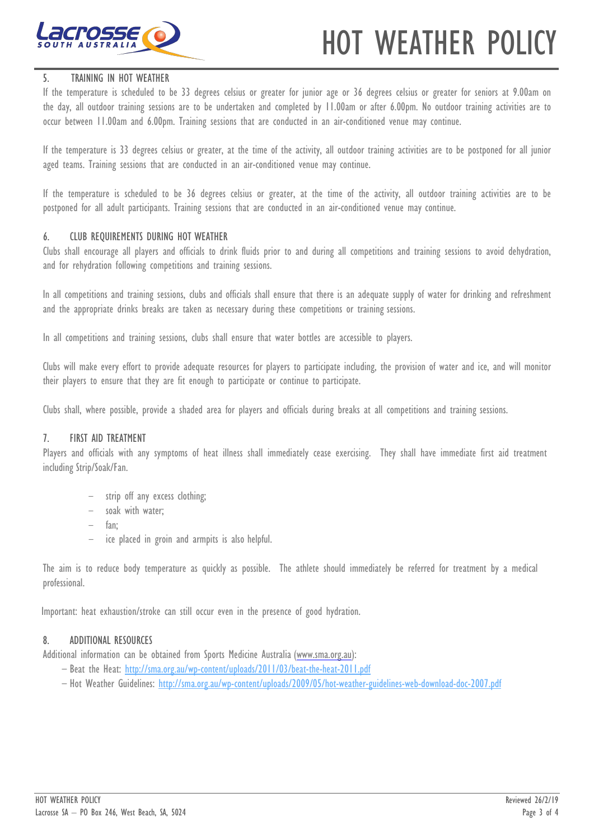



#### 5. TRAINING IN HOT WEATHER

If the temperature is scheduled to be 33 degrees celsius or greater for junior age or 36 degrees celsius or greater for seniors at 9.00am on the day, all outdoor training sessions are to be undertaken and completed by 11.00am or after 6.00pm. No outdoor training activities are to occur between 11.00am and 6.00pm. Training sessions that are conducted in an air-conditioned venue may continue.

If the temperature is 33 degrees celsius or greater, at the time of the activity, all outdoor training activities are to be postponed for all junior aged teams. Training sessions that are conducted in an air-conditioned venue may continue.

If the temperature is scheduled to be 36 degrees celsius or greater, at the time of the activity, all outdoor training activities are to be postponed for all adult participants. Training sessions that are conducted in an air-conditioned venue may continue.

#### 6. CLUB REQUIREMENTS DURING HOT WEATHER

Clubs shall encourage all players and officials to drink fluids prior to and during all competitions and training sessions to avoid dehydration, and for rehydration following competitions and training sessions.

In all competitions and training sessions, clubs and officials shall ensure that there is an adequate supply of water for drinking and refreshment and the appropriate drinks breaks are taken as necessary during these competitions or training sessions.

In all competitions and training sessions, clubs shall ensure that water bottles are accessible to players.

Clubs will make every effort to provide adequate resources for players to participate including, the provision of water and ice, and will monitor their players to ensure that they are fit enough to participate or continue to participate.

Clubs shall, where possible, provide a shaded area for players and officials during breaks at all competitions and training sessions.

#### 7. FIRST AID TREATMENT

Players and officials with any symptoms of heat illness shall immediately cease exercising. They shall have immediate first aid treatment including Strip/Soak/Fan.

- strip off any excess clothing;
- soak with water;
- fan;
- ice placed in groin and armpits is also helpful.

The aim is to reduce body temperature as quickly as possible. The athlete should immediately be referred for treatment by a medical professional.

Important: heat exhaustion/stroke can still occur even in the presence of good hydration.

#### 8. ADDITIONAL RESOURCES

Additional information can be obtained from Sports Medicine Australia [\(www.sma.org.au\)](http://www.sma.org.au/):

- Beat the Heat:<http://sma.org.au/wp-content/uploads/2011/03/beat-the-heat-2011.pdf>
- Hot Weather Guidelines:<http://sma.org.au/wp-content/uploads/2009/05/hot-weather-guidelines-web-download-doc-2007.pdf>